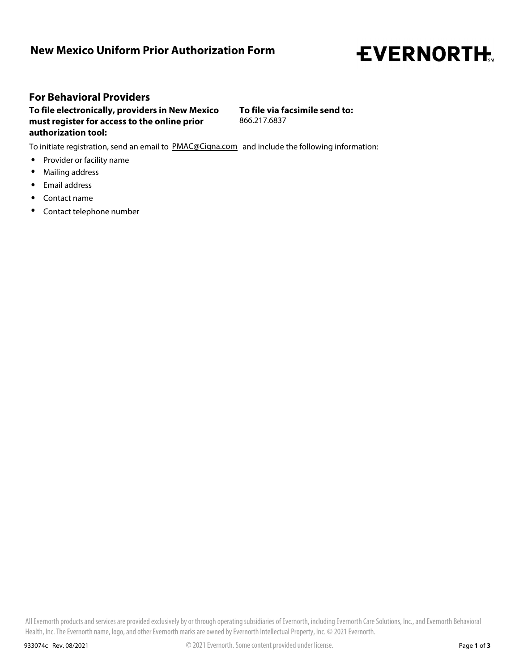## **New Mexico Uniform Prior Authorization Form**

## **EVERNORTH.**

## **For Behavioral Providers**

**To file electronically, providers in New Mexico must register for access to the online prior authorization tool:**

**To file via facsimile send to:** 866.217.6837

To initiate registration, send an email to PMAC@Cigna.com and include the following information:

- **.** Provider or facility name
- Mailing address **.**
- **.** Email address<br>**.** Contact name **.** Email address
- 
- **.** Contact telephone number

All Evernorth products and services are provided exclusively by or through operating subsidiaries of Evernorth, including Evernorth Care Solutions, Inc., and Evernorth Behavioral Health, Inc. The Evernorth name, logo, and other Evernorth marks are owned by Evernorth Intellectual Property, Inc. © 2021 Evernorth.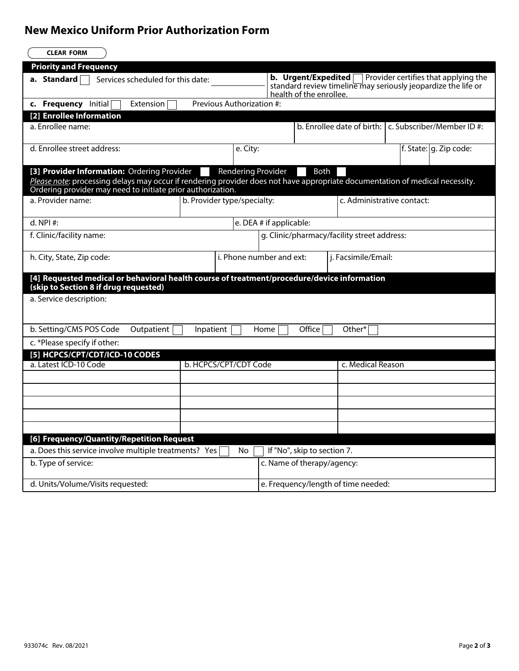## **New Mexico Uniform Prior Authorization Form**

| <b>CLEAR FORM</b>                                                                                                                                                                           |                             |                                                                                                                                                         |                                             |                                                               |  |  |
|---------------------------------------------------------------------------------------------------------------------------------------------------------------------------------------------|-----------------------------|---------------------------------------------------------------------------------------------------------------------------------------------------------|---------------------------------------------|---------------------------------------------------------------|--|--|
| <b>Priority and Frequency</b>                                                                                                                                                               |                             |                                                                                                                                                         |                                             |                                                               |  |  |
| Services scheduled for this date:<br>a. Standard                                                                                                                                            |                             | b. Urgent/Expedited<br>Provider certifies that applying the<br>standard review timeline may seriously jeopardize the life or<br>health of the enrollee. |                                             |                                                               |  |  |
| c. Frequency Initial<br>Extension                                                                                                                                                           | Previous Authorization #:   |                                                                                                                                                         |                                             |                                                               |  |  |
| [2] Enrollee Information                                                                                                                                                                    |                             |                                                                                                                                                         |                                             |                                                               |  |  |
| a. Enrollee name:                                                                                                                                                                           |                             |                                                                                                                                                         |                                             | b. Enrollee date of birth: $\vert$ c. Subscriber/Member ID #: |  |  |
| d. Enrollee street address:                                                                                                                                                                 | e. City:                    |                                                                                                                                                         |                                             | f. State: $ g$ . Zip code:                                    |  |  |
| [3] Provider Information: Ordering Provider                                                                                                                                                 | Rendering Provider          | Both                                                                                                                                                    |                                             |                                                               |  |  |
| Please note: processing delays may occur if rendering provider does not have appropriate documentation of medical necessity.<br>Ordering provider may need to initiate prior authorization. |                             |                                                                                                                                                         |                                             |                                                               |  |  |
| a. Provider name:                                                                                                                                                                           | b. Provider type/specialty: |                                                                                                                                                         |                                             | c. Administrative contact:                                    |  |  |
| $d.$ NPI #:                                                                                                                                                                                 |                             | e. DEA # if applicable:                                                                                                                                 |                                             |                                                               |  |  |
| f. Clinic/facility name:                                                                                                                                                                    |                             |                                                                                                                                                         | g. Clinic/pharmacy/facility street address: |                                                               |  |  |
| h. City, State, Zip code:                                                                                                                                                                   | i. Phone number and ext:    | j. Facsimile/Email:                                                                                                                                     |                                             |                                                               |  |  |
| [4] Requested medical or behavioral health course of treatment/procedure/device information<br>(skip to Section 8 if drug requested)                                                        |                             |                                                                                                                                                         |                                             |                                                               |  |  |
| a. Service description:                                                                                                                                                                     |                             |                                                                                                                                                         |                                             |                                                               |  |  |
| b. Setting/CMS POS Code<br>Outpatient<br>Office<br>Other*<br>Inpatient<br>Home                                                                                                              |                             |                                                                                                                                                         |                                             |                                                               |  |  |
| c. *Please specify if other:                                                                                                                                                                |                             |                                                                                                                                                         |                                             |                                                               |  |  |
| [5] HCPCS/CPT/CDT/ICD-10 CODES                                                                                                                                                              |                             |                                                                                                                                                         |                                             |                                                               |  |  |
| a. Latest ICD-10 Code<br>b. HCPCS/CPT/CDT Code                                                                                                                                              |                             |                                                                                                                                                         | c. Medical Reason                           |                                                               |  |  |
|                                                                                                                                                                                             |                             |                                                                                                                                                         |                                             |                                                               |  |  |
|                                                                                                                                                                                             |                             |                                                                                                                                                         |                                             |                                                               |  |  |
|                                                                                                                                                                                             |                             |                                                                                                                                                         |                                             |                                                               |  |  |
|                                                                                                                                                                                             |                             |                                                                                                                                                         |                                             |                                                               |  |  |
|                                                                                                                                                                                             |                             |                                                                                                                                                         |                                             |                                                               |  |  |
| [6] Frequency/Quantity/Repetition Request                                                                                                                                                   |                             |                                                                                                                                                         |                                             |                                                               |  |  |
| a. Does this service involve multiple treatments? Yes                                                                                                                                       | No                          | If "No", skip to section 7.                                                                                                                             |                                             |                                                               |  |  |
| b. Type of service:                                                                                                                                                                         |                             | c. Name of therapy/agency:                                                                                                                              |                                             |                                                               |  |  |
| d. Units/Volume/Visits requested:                                                                                                                                                           |                             | e. Frequency/length of time needed:                                                                                                                     |                                             |                                                               |  |  |